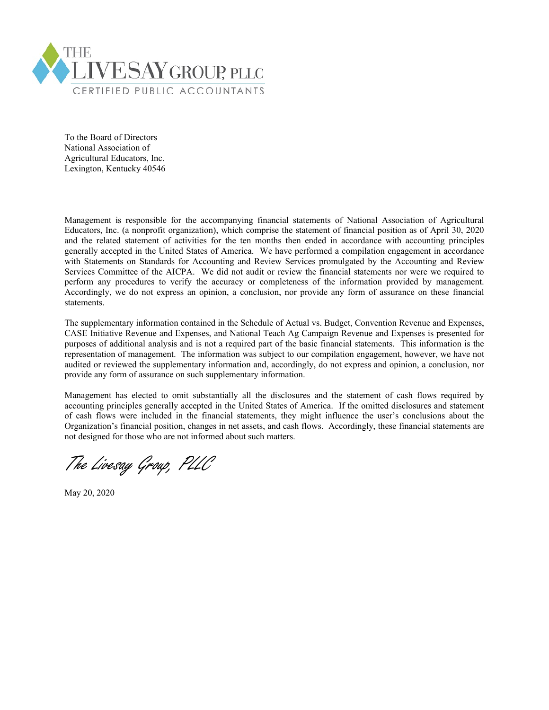

To the Board of Directors National Association of Agricultural Educators, Inc. Lexington, Kentucky 40546

Management is responsible for the accompanying financial statements of National Association of Agricultural Educators, Inc. (a nonprofit organization), which comprise the statement of financial position as of April 30, 2020 and the related statement of activities for the ten months then ended in accordance with accounting principles generally accepted in the United States of America. We have performed a compilation engagement in accordance with Statements on Standards for Accounting and Review Services promulgated by the Accounting and Review Services Committee of the AICPA. We did not audit or review the financial statements nor were we required to perform any procedures to verify the accuracy or completeness of the information provided by management. Accordingly, we do not express an opinion, a conclusion, nor provide any form of assurance on these financial statements.

The supplementary information contained in the Schedule of Actual vs. Budget, Convention Revenue and Expenses, CASE Initiative Revenue and Expenses, and National Teach Ag Campaign Revenue and Expenses is presented for purposes of additional analysis and is not a required part of the basic financial statements. This information is the representation of management. The information was subject to our compilation engagement, however, we have not audited or reviewed the supplementary information and, accordingly, do not express and opinion, a conclusion, nor provide any form of assurance on such supplementary information.

Management has elected to omit substantially all the disclosures and the statement of cash flows required by accounting principles generally accepted in the United States of America. If the omitted disclosures and statement of cash flows were included in the financial statements, they might influence the user's conclusions about the Organization's financial position, changes in net assets, and cash flows. Accordingly, these financial statements are not designed for those who are not informed about such matters.

The Livesay Group, PLLC

May 20, 2020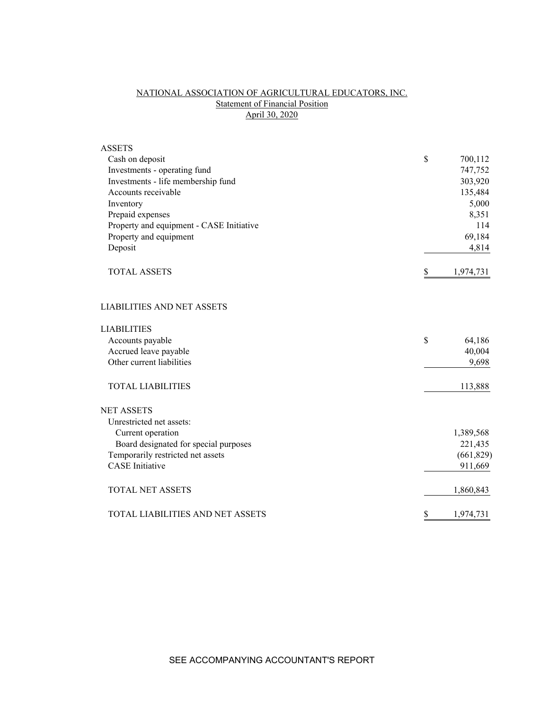# NATIONAL ASSOCIATION OF AGRICULTURAL EDUCATORS, INC. **Statement of Financial Position** April 30, 2020

| <b>ASSETS</b>                            |                 |
|------------------------------------------|-----------------|
| Cash on deposit                          | \$<br>700,112   |
| Investments - operating fund             | 747,752         |
| Investments - life membership fund       | 303,920         |
| Accounts receivable                      | 135,484         |
| Inventory                                | 5,000           |
| Prepaid expenses                         | 8,351           |
| Property and equipment - CASE Initiative | 114             |
| Property and equipment                   | 69,184          |
| Deposit                                  | 4,814           |
| <b>TOTAL ASSETS</b>                      | \$<br>1,974,731 |
| <b>LIABILITIES AND NET ASSETS</b>        |                 |
| <b>LIABILITIES</b>                       |                 |
| Accounts payable                         | \$<br>64,186    |
| Accrued leave payable                    | 40,004          |
| Other current liabilities                | 9,698           |
| <b>TOTAL LIABILITIES</b>                 | 113,888         |
| <b>NET ASSETS</b>                        |                 |
| Unrestricted net assets:                 |                 |
| Current operation                        | 1,389,568       |
| Board designated for special purposes    | 221,435         |
| Temporarily restricted net assets        | (661, 829)      |
| <b>CASE</b> Initiative                   | 911,669         |
| <b>TOTAL NET ASSETS</b>                  | 1,860,843       |
| TOTAL LIABILITIES AND NET ASSETS         | \$<br>1,974,731 |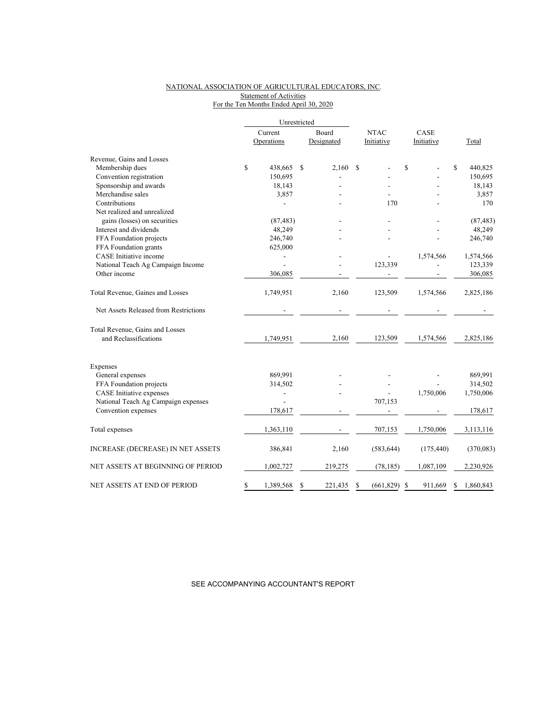## NATIONAL ASSOCIATION OF AGRICULTURAL EDUCATORS, INC. Statement of Activities For the Ten Months Ended April 30, 2020

|                                                          | Unrestricted    |               |             |            |      |            |    |           |
|----------------------------------------------------------|-----------------|---------------|-------------|------------|------|------------|----|-----------|
|                                                          | Current         | Board         | <b>NTAC</b> |            | CASE |            |    |           |
|                                                          | Operations      | Designated    |             | Initiative |      | Initiative |    | Total     |
| Revenue, Gains and Losses                                |                 |               |             |            |      |            |    |           |
| Membership dues                                          | \$<br>438,665   | \$<br>2,160   | S           |            | \$   |            | \$ | 440,825   |
| Convention registration                                  | 150,695         |               |             |            |      |            |    | 150,695   |
| Sponsorship and awards                                   | 18,143          |               |             |            |      |            |    | 18,143    |
| Merchandise sales                                        | 3,857           |               |             |            |      |            |    | 3,857     |
| Contributions                                            |                 |               |             | 170        |      |            |    | 170       |
| Net realized and unrealized                              |                 |               |             |            |      |            |    |           |
| gains (losses) on securities                             | (87, 483)       |               |             |            |      |            |    | (87, 483) |
| Interest and dividends                                   | 48,249          |               |             |            |      |            |    | 48,249    |
| FFA Foundation projects                                  | 246,740         |               |             |            |      |            |    | 246,740   |
| FFA Foundation grants                                    | 625,000         |               |             |            |      |            |    |           |
| CASE Initiative income                                   |                 |               |             |            |      | 1,574,566  |    | 1,574,566 |
| National Teach Ag Campaign Income                        |                 |               |             | 123,339    |      |            |    | 123,339   |
| Other income                                             | 306,085         |               |             |            |      |            |    | 306,085   |
| Total Revenue, Gaines and Losses                         | 1,749,951       | 2,160         |             | 123,509    |      | 1,574,566  |    | 2,825,186 |
| Net Assets Released from Restrictions                    |                 |               |             |            |      |            |    |           |
| Total Revenue, Gains and Losses<br>and Reclassifications | 1,749,951       | 2,160         |             | 123,509    |      | 1,574,566  |    | 2,825,186 |
| Expenses                                                 |                 |               |             |            |      |            |    |           |
| General expenses                                         | 869,991         |               |             |            |      |            |    | 869,991   |
| FFA Foundation projects                                  | 314,502         |               |             |            |      |            |    | 314,502   |
| <b>CASE</b> Initiative expenses                          |                 |               |             |            |      | 1,750,006  |    | 1,750,006 |
| National Teach Ag Campaign expenses                      |                 |               |             | 707,153    |      |            |    |           |
| Convention expenses                                      | 178,617         |               |             |            |      |            |    | 178,617   |
| Total expenses                                           | 1,363,110       |               |             | 707,153    |      | 1,750,006  |    | 3,113,116 |
| <b>INCREASE (DECREASE) IN NET ASSETS</b>                 | 386,841         | 2,160         |             | (583, 644) |      | (175, 440) |    | (370,083) |
| NET ASSETS AT BEGINNING OF PERIOD                        | 1,002,727       | 219,275       |             | (78, 185)  |      | 1,087,109  |    | 2,230,926 |
| NET ASSETS AT END OF PERIOD                              | \$<br>1,389,568 | \$<br>221,435 | \$          | (661, 829) | S    | 911,669    | S  | 1,860,843 |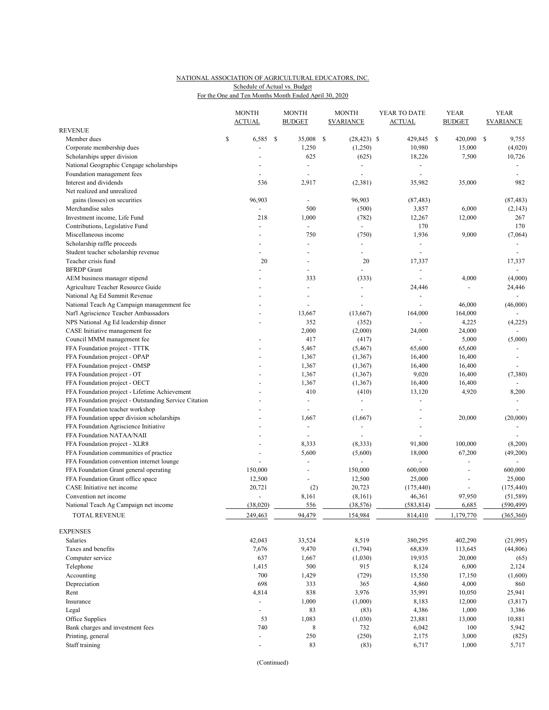### NATIONAL ASSOCIATION OF AGRICULTURAL EDUCATORS, INC. For the One and Ten Months Month Ended April 30, 2020 Schedule of Actual vs. Budget

|                                                       | <b>MONTH</b><br><b>ACTUAL</b> |      | <b>MONTH</b><br><b>BUDGET</b> | <b>MONTH</b><br><b><i>SVARIANCE</i></b> | YEAR TO DATE<br><b>ACTUAL</b> |               | <b>YEAR</b><br><b>BUDGET</b> | <b>YEAR</b><br><b><i>SVARIANCE</i></b> |
|-------------------------------------------------------|-------------------------------|------|-------------------------------|-----------------------------------------|-------------------------------|---------------|------------------------------|----------------------------------------|
| <b>REVENUE</b>                                        |                               |      |                               |                                         |                               |               |                              |                                        |
| Member dues                                           | \$<br>6,585                   | - \$ | 35,008                        | \$<br>$(28, 423)$ \$                    | 429,845                       | <sup>\$</sup> | 420,090                      | \$<br>9,755                            |
| Corporate membership dues                             |                               |      | 1,250                         | (1,250)                                 | 10,980                        |               | 15,000                       | (4,020)                                |
| Scholarships upper division                           |                               |      | 625                           | (625)                                   | 18,226                        |               | 7,500                        | 10,726                                 |
| National Geographic Cengage scholarships              |                               |      | $\blacksquare$                | $\blacksquare$                          |                               |               |                              |                                        |
| Foundation management fees                            | $\overline{a}$                |      | $\sim$                        | $\blacksquare$                          | $\overline{a}$                |               |                              |                                        |
| Interest and dividends                                | 536                           |      | 2,917                         | (2,381)                                 | 35,982                        |               | 35,000                       | 982                                    |
| Net realized and unrealized                           |                               |      |                               |                                         |                               |               |                              |                                        |
| gains (losses) on securities                          | 96,903                        |      |                               | 96,903                                  | (87, 483)                     |               |                              | (87, 483)                              |
| Merchandise sales                                     | $\blacksquare$                |      | 500                           | (500)                                   | 3,857                         |               | 6,000                        | (2, 143)                               |
| Investment income, Life Fund                          | 218                           |      | 1,000                         | (782)                                   | 12,267                        |               | 12,000                       | 267                                    |
| Contributions, Legislative Fund                       | $\overline{a}$                |      | $\blacksquare$                | $\blacksquare$                          | 170                           |               |                              | 170                                    |
| Miscellaneous income                                  |                               |      | 750                           | (750)                                   | 1,936                         |               | 9,000                        | (7,064)                                |
| Scholarship raffle proceeds                           |                               |      | ÷,                            | ÷,                                      | $\blacksquare$                |               |                              |                                        |
| Student teacher scholarship revenue                   |                               |      |                               |                                         | ÷,                            |               |                              |                                        |
| Teacher crisis fund                                   | 20                            |      |                               | 20                                      | 17,337                        |               |                              | 17,337                                 |
| <b>BFRDP</b> Grant                                    |                               |      |                               |                                         | ÷,                            |               |                              | $\blacksquare$                         |
| AEM business manager stipend                          |                               |      | 333                           | (333)                                   | $\blacksquare$                |               | 4,000                        | (4,000)                                |
| Agriculture Teacher Resource Guide                    |                               |      |                               | $\blacksquare$                          | 24,446                        |               | $\overline{a}$               | 24,446                                 |
| National Ag Ed Summit Revenue                         |                               |      |                               |                                         | ÷.                            |               |                              |                                        |
| National Teach Ag Campaign managenment fee            |                               |      |                               |                                         |                               |               | 46,000                       | (46,000)                               |
| Nat'l Agriscience Teacher Ambassadors                 |                               |      | 13,667                        | (13,667)                                | 164,000                       |               | 164,000                      |                                        |
| NPS National Ag Ed leadership dinner                  | $\overline{a}$                |      | 352                           | (352)                                   | $\overline{\phantom{a}}$      |               | 4,225                        | (4,225)                                |
| CASE Initiative management fee                        |                               |      | 2,000                         | (2,000)                                 | 24,000                        |               | 24,000                       |                                        |
| Council MMM management fee                            |                               |      | 417                           | (417)                                   |                               |               | 5,000                        | (5,000)                                |
| FFA Foundation project - TTTK                         |                               |      | 5,467                         | (5, 467)                                | 65,600                        |               | 65,600                       |                                        |
| FFA Foundation project - OPAP                         |                               |      | 1,367                         | (1, 367)                                | 16,400                        |               | 16,400                       | $\sim$                                 |
| FFA Foundation project - OMSP                         |                               |      | 1,367                         | (1, 367)                                | 16,400                        |               | 16,400                       |                                        |
| FFA Foundation project - OT                           |                               |      | 1,367                         | (1, 367)                                | 9,020                         |               | 16,400                       | (7,380)                                |
| FFA Foundation project - OECT                         |                               |      | 1,367                         | (1, 367)                                | 16,400                        |               | 16,400                       |                                        |
| FFA Foundation project - Lifetime Achievement         |                               |      | 410                           | (410)                                   | 13,120                        |               | 4,920                        | 8,200                                  |
| FFA Foundation project - Outstanding Service Citation |                               |      | $\blacksquare$                | $\overline{\phantom{a}}$                | ÷,                            |               |                              |                                        |
| FFA Foundation teacher workshop                       |                               |      |                               | $\overline{a}$                          | ÷,                            |               |                              |                                        |
| FFA Foundation upper division scholarships            |                               |      | 1,667                         | (1,667)                                 |                               |               | 20,000                       | (20,000)                               |
| FFA Foundation Agriscience Initiative                 |                               |      | $\blacksquare$                | ÷,                                      | ÷                             |               |                              |                                        |
| FFA Foundation NATAA/NAII                             |                               |      |                               |                                         |                               |               |                              |                                        |
| FFA Foundation project - XLR8                         | $\overline{\phantom{a}}$      |      | 8,333                         | (8, 333)                                | 91,800                        |               | 100,000                      | (8,200)                                |
| FFA Foundation communities of practice                |                               |      | 5,600                         | (5,600)                                 | 18,000                        |               | 67,200                       | (49,200)                               |
| FFA Foundation convention internet lounge             | $\overline{a}$                |      |                               | $\blacksquare$                          | ÷.                            |               | ÷,                           | $\sim$                                 |
| FFA Foundation Grant general operating                | 150,000                       |      |                               | 150,000                                 | 600,000                       |               | ÷,                           | 600,000                                |
| FFA Foundation Grant office space                     | 12,500                        |      |                               | 12,500                                  | 25,000                        |               | ÷,                           | 25,000                                 |
| CASE Initiative net income                            | 20,721                        |      | (2)                           | 20,723                                  | (175, 440)                    |               | $\blacksquare$               | (175, 440)                             |
| Convention net income                                 | ÷,                            |      | 8,161                         | (8,161)                                 | 46,361                        |               | 97,950                       | (51, 589)                              |
| National Teach Ag Campaign net income                 | (38,020)                      |      | 556                           | (38, 576)                               | (583, 814)                    |               | 6,685                        | (590, 499)                             |
| <b>TOTAL REVENUE</b>                                  | 249,463                       |      | 94,479                        | 154,984                                 | 814,410                       |               | 1,179,770                    | (365, 360)                             |
| <b>EXPENSES</b>                                       |                               |      |                               |                                         |                               |               |                              |                                        |
| Salaries                                              | 42,043                        |      | 33,524                        | 8,519                                   | 380,295                       |               | 402,290                      | (21,995)                               |
| Taxes and benefits                                    | 7,676                         |      | 9,470                         | (1,794)                                 | 68,839                        |               | 113,645                      | (44,806)                               |
| Computer service                                      | 637                           |      | 1,667                         | (1,030)                                 | 19,935                        |               | 20,000                       | (65)                                   |
| Telephone                                             | 1,415                         |      | 500                           | 915                                     | 8,124                         |               | 6,000                        | 2,124                                  |
| Accounting                                            | 700                           |      | 1,429                         | (729)                                   | 15,550                        |               | 17,150                       | (1,600)                                |
| Depreciation                                          | 698                           |      | 333                           | 365                                     | 4,860                         |               | 4,000                        | 860                                    |
| Rent                                                  | 4,814                         |      | 838                           | 3,976                                   | 35,991                        |               | 10,050                       | 25,941                                 |
| Insurance                                             | $\blacksquare$                |      | 1,000                         | (1,000)                                 | 8,183                         |               | 12,000                       | (3,817)                                |
| Legal                                                 | $\overline{\phantom{a}}$      |      | 83                            | (83)                                    | 4,386                         |               | 1,000                        | 3,386                                  |
| Office Supplies                                       | 53                            |      | 1,083                         | (1,030)                                 | 23,881                        |               | 13,000                       | 10,881                                 |
| Bank charges and investment fees                      | 740                           |      | $\,8\,$                       | 732                                     | 6,042                         |               | 100                          | 5,942                                  |
| Printing, general                                     | $\blacksquare$                |      | 250                           | (250)                                   | 2,175                         |               | 3,000                        | (825)                                  |
| Staff training                                        |                               |      | 83                            | (83)                                    | 6,717                         |               | 1,000                        | 5,717                                  |
|                                                       |                               |      |                               |                                         |                               |               |                              |                                        |

(Continued)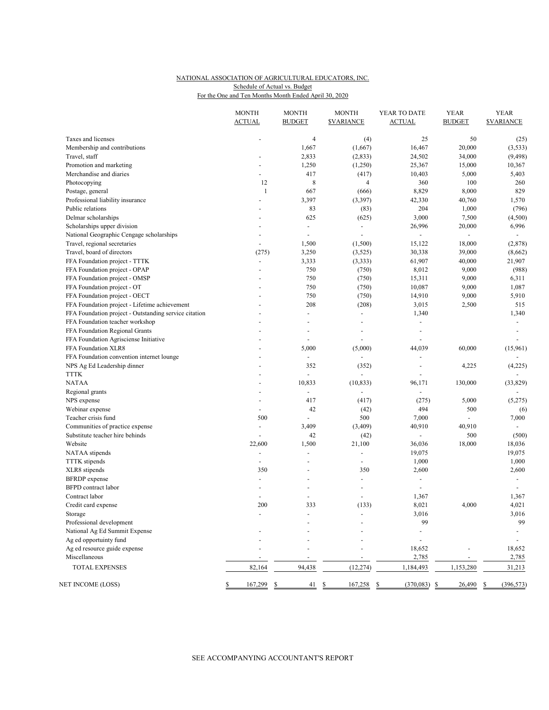### NATIONAL ASSOCIATION OF AGRICULTURAL EDUCATORS, INC. For the One and Ten Months Month Ended April 30, 2020 Schedule of Actual vs. Budget

|                                                       | <b>MONTH</b><br><b>ACTUAL</b> | <b>MONTH</b><br><b>BUDGET</b> | <b>MONTH</b><br><b><i>SVARIANCE</i></b> | YEAR TO DATE<br><b>ACTUAL</b> | <b>YEAR</b><br><b>BUDGET</b> | <b>YEAR</b><br><b>SVARIANCE</b> |
|-------------------------------------------------------|-------------------------------|-------------------------------|-----------------------------------------|-------------------------------|------------------------------|---------------------------------|
|                                                       |                               |                               |                                         |                               |                              |                                 |
| Taxes and licenses                                    |                               | $\overline{4}$                | (4)                                     | 25                            | 50                           | (25)                            |
| Membership and contributions                          |                               | 1,667                         | (1,667)                                 | 16,467                        | 20,000                       | (3,533)                         |
| Travel, staff                                         |                               | 2,833                         | (2, 833)                                | 24,502                        | 34,000                       | (9, 498)                        |
| Promotion and marketing                               |                               | 1,250                         | (1,250)                                 | 25,367                        | 15,000                       | 10,367                          |
| Merchandise and diaries                               | ÷,                            | 417                           | (417)                                   | 10,403                        | 5,000                        | 5,403                           |
| Photocopying                                          | 12                            | 8                             | 4                                       | 360                           | 100                          | 260                             |
| Postage, general                                      | 1                             | 667                           | (666)                                   | 8,829                         | 8,000                        | 829                             |
| Professional liability insurance                      | $\overline{a}$                | 3,397                         | (3,397)                                 | 42,330                        | 40,760                       | 1,570                           |
| Public relations                                      |                               | 83                            | (83)                                    | 204                           | 1,000                        | (796)                           |
| Delmar scholarships                                   |                               | 625                           | (625)                                   | 3,000                         | 7,500                        | (4,500)                         |
| Scholarships upper division                           |                               | $\overline{\phantom{a}}$      | $\overline{\phantom{a}}$                | 26,996                        | 20,000                       | 6,996                           |
| National Geographic Cengage scholarships              |                               | $\blacksquare$                | $\blacksquare$                          | $\blacksquare$                |                              |                                 |
| Travel, regional secretaries                          | $\overline{a}$                | 1,500                         | (1,500)                                 | 15,122                        | 18,000                       | (2, 878)                        |
| Travel, board of directors                            | (275)                         | 3,250                         | (3, 525)                                | 30,338                        | 39,000                       | (8,662)                         |
| FFA Foundation project - TTTK                         | $\overline{\phantom{a}}$      | 3,333                         | (3, 333)                                | 61,907                        | 40,000                       | 21,907                          |
| FFA Foundation project - OPAP                         |                               | 750                           | (750)                                   | 8,012                         | 9,000                        | (988)                           |
| FFA Foundation project - OMSP                         | ÷.                            | 750                           | (750)                                   | 15,311                        | 9,000                        | 6,311                           |
| FFA Foundation project - OT                           |                               | 750                           | (750)                                   | 10,087                        | 9,000                        | 1,087                           |
| FFA Foundation project - OECT                         |                               | 750                           | (750)                                   | 14,910                        | 9,000                        | 5,910                           |
| FFA Foundation project - Lifetime achievement         |                               | 208                           | (208)                                   | 3,015                         | 2,500                        | 515                             |
| FFA Foundation project - Outstanding service citation | ÷.                            | $\blacksquare$                | $\blacksquare$                          | 1,340                         |                              | 1,340                           |
| FFA Foundation teacher workshop                       |                               | ÷,                            | $\overline{\phantom{a}}$                | $\blacksquare$                |                              | $\blacksquare$                  |
| FFA Foundation Regional Grants                        |                               | ÷,                            | $\overline{\phantom{a}}$                | $\sim$                        |                              | $\sim$                          |
| FFA Foundation Agrisciense Initiative                 |                               | $\sim$                        |                                         | ÷,                            |                              |                                 |
| FFA Foundation XLR8                                   |                               | 5,000                         | (5,000)                                 | 44,039                        | 60,000                       | (15,961)                        |
| FFA Foundation convention internet lounge             | ä,                            | $\overline{\phantom{a}}$      | $\blacksquare$                          | $\blacksquare$                |                              |                                 |
| NPS Ag Ed Leadership dinner                           |                               | 352                           | (352)                                   | ÷,                            | 4,225                        | (4,225)                         |
| <b>TTTK</b>                                           | ÷.                            | L,                            |                                         | $\sim$                        |                              |                                 |
| <b>NATAA</b>                                          |                               | 10,833                        | (10, 833)                               | 96,171                        | 130,000                      | (33, 829)                       |
| Regional grants                                       | L,                            | ÷,                            |                                         | $\blacksquare$                |                              |                                 |
| NPS expense                                           | $\overline{a}$                | 417                           | (417)                                   | (275)                         | 5,000                        | (5,275)                         |
| Webinar expense                                       | $\blacksquare$                | 42                            | (42)                                    | 494                           | 500                          | (6)                             |
| Teacher crisis fund                                   | 500                           |                               | 500                                     | 7,000                         |                              | 7,000                           |
| Communities of practice expense                       | $\overline{\phantom{a}}$      | 3,409                         | (3,409)                                 | 40,910                        | 40,910                       |                                 |
| Substitute teacher hire behinds                       |                               | 42                            | (42)                                    |                               | 500                          | (500)                           |
| Website                                               | 22,600                        | 1,500                         | 21,100                                  | 36,036                        | 18,000                       | 18,036                          |
| NATAA stipends                                        | $\blacksquare$                | ÷,                            |                                         | 19,075                        |                              | 19,075                          |
| <b>TTTK</b> stipends                                  | $\overline{a}$                | $\overline{\phantom{a}}$      | $\blacksquare$                          | 1,000                         |                              | 1,000                           |
| XLR8 stipends                                         | 350                           | ÷,                            | 350                                     | 2,600                         |                              | 2,600                           |
| <b>BFRDP</b> expense                                  | ٠                             | $\overline{\phantom{a}}$      | $\overline{\phantom{a}}$                | $\blacksquare$                |                              | $\overline{\phantom{a}}$        |
| <b>BFPD</b> contract labor                            |                               |                               |                                         | $\sim$                        |                              |                                 |
| Contract labor                                        | $\overline{\phantom{a}}$      | ÷,                            |                                         | 1,367                         |                              | 1,367                           |
| Credit card expense                                   | 200                           | 333                           | (133)                                   | 8,021                         | 4,000                        | 4,021                           |
| Storage                                               |                               |                               |                                         | 3,016                         |                              | 3,016                           |
| Professional development                              |                               |                               |                                         | 99                            |                              | 99                              |
| National Ag Ed Summit Expense                         |                               |                               |                                         |                               |                              |                                 |
| Ag ed opportuinty fund                                |                               |                               |                                         |                               |                              |                                 |
| Ag ed resource guide expense<br>Miscellaneous         |                               |                               |                                         | 18,652                        |                              | 18,652                          |
|                                                       |                               |                               |                                         | 2,785                         |                              | 2,785                           |
| TOTAL EXPENSES                                        | 82,164                        | 94,438                        | (12, 274)                               | 1,184,493                     | 1,153,280                    | 31,213                          |
| NET INCOME (LOSS)                                     | 167,299                       | 41<br>\$                      | 167,258<br>\$                           | $(370,083)$ \$<br>\$          | 26,490                       | (396, 573)<br>\$                |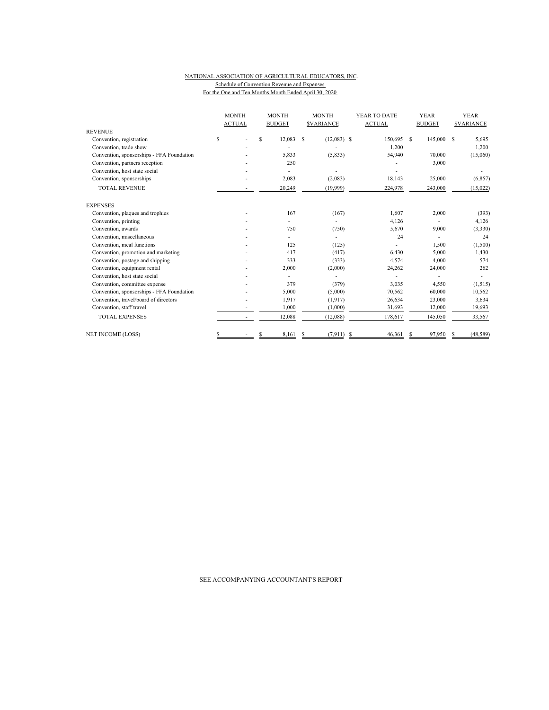#### NATIONAL ASSOCIATION OF AGRICULTURAL EDUCATORS, INC. Schedule of Convention Revenue and Expenses For the One and Ten Months Month Ended April 30, 2020

|                                           |    | <b>MONTH</b>  |   | <b>MONTH</b>  |   | <b>MONTH</b>            |   | YEAR TO DATE  |   | <b>YEAR</b>   |   | <b>YEAR</b>      |
|-------------------------------------------|----|---------------|---|---------------|---|-------------------------|---|---------------|---|---------------|---|------------------|
| <b>REVENUE</b>                            |    | <b>ACTUAL</b> |   | <b>BUDGET</b> |   | <b><i>SVARIANCE</i></b> |   | <b>ACTUAL</b> |   | <b>BUDGET</b> |   | <b>SVARIANCE</b> |
| Convention, registration                  | \$ |               | S | 12,083        | S | $(12,083)$ \$           |   | 150,695       | S | 145,000       | S | 5,695            |
| Convention, trade show                    |    |               |   |               |   |                         |   | 1,200         |   |               |   | 1,200            |
| Convention, sponsorships - FFA Foundation |    |               |   | 5,833         |   | (5, 833)                |   | 54,940        |   | 70,000        |   | (15,060)         |
| Convention, partners reception            |    |               |   | 250           |   |                         |   |               |   | 3,000         |   |                  |
| Convention, host state social             |    |               |   |               |   |                         |   |               |   |               |   |                  |
| Convention, sponsorships                  |    |               |   | 2,083         |   | (2,083)                 |   | 18,143        |   | 25,000        |   | (6, 857)         |
| <b>TOTAL REVENUE</b>                      |    |               |   | 20,249        |   | (19,999)                |   | 224,978       |   | 243,000       |   | (15,022)         |
| <b>EXPENSES</b>                           |    |               |   |               |   |                         |   |               |   |               |   |                  |
| Convention, plaques and trophies          |    |               |   | 167           |   | (167)                   |   | 1.607         |   | 2,000         |   | (393)            |
| Convention, printing                      |    |               |   |               |   |                         |   | 4,126         |   |               |   | 4,126            |
| Convention, awards                        |    |               |   | 750           |   | (750)                   |   | 5,670         |   | 9,000         |   | (3,330)          |
| Convention, miscellaneous                 |    |               |   |               |   |                         |   | 24            |   |               |   | 24               |
| Convention, meal functions                |    |               |   | 125           |   | (125)                   |   |               |   | 1,500         |   | (1,500)          |
| Convention, promotion and marketing       |    |               |   | 417           |   | (417)                   |   | 6,430         |   | 5,000         |   | 1,430            |
| Convention, postage and shipping          |    |               |   | 333           |   | (333)                   |   | 4,574         |   | 4,000         |   | 574              |
| Convention, equipment rental              |    |               |   | 2,000         |   | (2,000)                 |   | 24,262        |   | 24,000        |   | 262              |
| Convention, host state social             |    |               |   |               |   |                         |   |               |   |               |   |                  |
| Convention, committee expense             |    |               |   | 379           |   | (379)                   |   | 3,035         |   | 4,550         |   | (1,515)          |
| Convention, sponsorships - FFA Foundation |    |               |   | 5,000         |   | (5,000)                 |   | 70,562        |   | 60,000        |   | 10,562           |
| Convention, travel/board of directors     |    |               |   | 1,917         |   | (1, 917)                |   | 26,634        |   | 23,000        |   | 3,634            |
| Convention, staff travel                  |    |               |   | 1,000         |   | (1,000)                 |   | 31,693        |   | 12,000        |   | 19,693           |
| <b>TOTAL EXPENSES</b>                     |    |               |   | 12,088        |   | (12,088)                |   | 178,617       |   | 145,050       |   | 33,567           |
| <b>NET INCOME (LOSS)</b>                  | S  |               |   | 8.161         | S | (7, 911)                | S | 46,361        | S | 97,950        |   | (48, 589)        |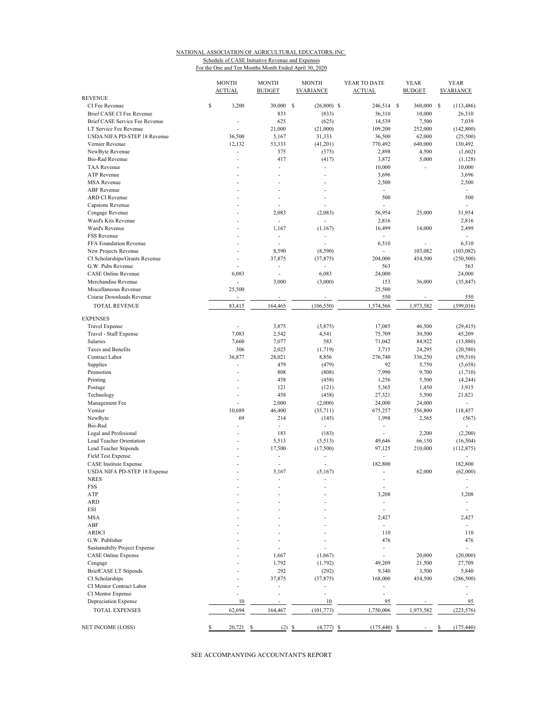#### NATIONAL ASSOCIATION OF AGRICULTURAL EDUCATORS, INC. Schedule of CASE Initiative Revenue and Expenses For the One and Ten Months Month Ended April 30, 2020

| <b>REVENUE</b>                                      | <b>MONTH</b><br><b>ACTUAL</b> | <b>MONTH</b><br><b>BUDGET</b> | <b>MONTH</b><br><b>SVARIANCE</b> | YEAR TO DATE<br><b>ACTUAL</b>      | <b>YEAR</b><br><b>BUDGET</b> | <b>YEAR</b><br><b>SVARIANCE</b> |
|-----------------------------------------------------|-------------------------------|-------------------------------|----------------------------------|------------------------------------|------------------------------|---------------------------------|
| CI Fee Revenue                                      | \$<br>3,200                   | 30,000 \$                     | $(26,800)$ \$                    | 246,514 \$                         | 360,000 \$                   | (113, 486)                      |
| Brief CASE CI Fee Revenue                           |                               | 833                           | (833)                            | 36,310                             | 10,000                       | 26,310                          |
| Brief CASE Service Fee Revenue                      | ÷,                            | 625                           | (625)                            | 14,539                             | 7,500                        | 7,039                           |
| LT Service Fee Revenue                              | ÷.                            | 21,000                        | (21,000)                         | 109,200                            | 252,000                      | (142, 800)                      |
| USDA NIFA PD-STEP 18 Revenue                        | 36,500                        | 5,167                         | 31,333                           | 36,500                             | 62,000                       | (25,500)                        |
| Vernier Revenue                                     | 12,132                        | 53,333                        | (41,201)                         | 770,492                            | 640,000                      | 130,492                         |
| NewByte Revenue                                     | $\overline{\phantom{a}}$      | 375                           | (375)                            | 2,898                              | 4,500                        | (1,602)                         |
| <b>Bio-Rad Revenue</b>                              | ÷.                            | 417                           | (417)                            | 3,872                              | 5,000                        | (1, 128)                        |
| <b>TAA Revenue</b>                                  | ÷,                            | L,                            | ÷,                               | 10,000                             | $\blacksquare$               | 10,000                          |
| <b>ATP</b> Revenue                                  | ÷.                            | $\overline{a}$                | ÷.                               | 3,696                              |                              | 3,696                           |
| <b>MSA Revenue</b>                                  | ÷,                            | ä,                            | ٠                                | 2,500                              |                              | 2,500                           |
| <b>ABF</b> Revenue                                  |                               |                               |                                  | $\overline{a}$                     |                              | ÷.                              |
| <b>ARD CI Revenue</b>                               |                               | $\overline{a}$                |                                  | 500                                |                              | 500                             |
| Capstone Revenue                                    |                               | ä,                            |                                  |                                    |                              |                                 |
| Cengage Revenue                                     |                               | 2,083                         | (2,083)                          | 56,954                             | 25,000                       | 31,954                          |
| Ward's Kits Revenue                                 | Ĭ.                            | $\frac{1}{2}$                 |                                  | 2,816                              |                              | 2,816                           |
| Ward's Revenue                                      | ÷                             | 1,167                         | (1,167)                          | 16,499<br>$\overline{\phantom{a}}$ | 14,000                       | 2,499                           |
| <b>FSS Revenue</b>                                  | ÷,                            | $\overline{a}$                |                                  |                                    |                              | ÷.                              |
| FFA Foundation Revenue                              | ÷,<br>÷.                      | ÷,                            |                                  | 6,510<br>L.                        | ÷,                           | 6,510                           |
| New Projects Revenue                                | ÷,                            | 8,590<br>37,875               | (8,590)                          | 204,000                            | 103,082<br>454,500           | (103, 082)                      |
| CI Scholarships/Grants Revenue<br>G.W. Pubs Revenue | ÷,                            | $\overline{\phantom{m}}$      | (37, 875)                        | 563                                |                              | (250, 500)<br>563               |
| <b>CASE Online Revenue</b>                          | 6,083                         | ä,                            | 6,083                            | 24,000                             |                              | 24,000                          |
| Merchandise Revenue                                 | $\overline{\phantom{a}}$      | 3,000                         | (3,000)                          | 153                                | 36,000                       | (35, 847)                       |
| Miscellaneous Revenue                               | 25,500                        |                               |                                  | 25,500                             |                              |                                 |
| Course Downloads Revenue                            | $\overline{\phantom{a}}$      | ÷,                            | $\overline{a}$                   | 550                                | $\overline{\phantom{a}}$     | 550                             |
| <b>TOTAL REVENUE</b>                                | 83,415                        |                               |                                  |                                    |                              |                                 |
|                                                     |                               | 164,465                       | (106, 550)                       | 1,574,566                          | 1,973,582                    | (399, 016)                      |
| <b>EXPENSES</b>                                     |                               |                               |                                  |                                    |                              |                                 |
| <b>Travel Expense</b>                               | Ĭ.                            | 3,875                         | (3,875)                          | 17,085                             | 46,500                       | (29, 415)                       |
| Travel - Staff Expense                              | 7,083                         | 2,542                         | 4,541                            | 75,709                             | 30,500                       | 45,209                          |
| Salaries                                            | 7,660                         | 7,077                         | 583                              | 71,042                             | 84,922                       | (13,880)                        |
| Taxes and Benefits                                  | 306                           | 2,025                         | (1,719)                          | 3,715                              | 24,295                       | (20, 580)                       |
| Contract Labor                                      | 36,877                        | 28,021                        | 8,856                            | 276,740                            | 336,250                      | (59, 510)                       |
| Supplies                                            | $\overline{\phantom{a}}$      | 479                           | (479)                            | 92                                 | 5,750                        | (5,658)                         |
| Promotion                                           | ÷                             | 808                           | (808)                            | 7,990                              | 9,700                        | (1,710)                         |
| Printing                                            | ÷                             | 458                           | (458)                            | 1,256                              | 5,500                        | (4,244)                         |
| Postage                                             | Ĭ.                            | 121                           | (121)                            | 5,365                              | 1,450                        | 3,915                           |
| Technology                                          | ÷                             | 458                           | (458)                            | 27,321                             | 5,500                        | 21,821                          |
| Management Fee                                      | ÷,                            | 2,000                         | (2,000)                          | 24,000                             | 24,000                       | $\sim$                          |
| Vernier<br>NewByte                                  | 10,689<br>69                  | 46,400<br>214                 | (35,711)                         | 675,257<br>1,998                   | 556,800                      | 118,457                         |
| Bio-Rad                                             | ÷,                            | ÷,                            | (145)<br>÷.                      | L.                                 | 2,565                        | (567)                           |
| Legal and Profesional                               | L,                            | 183                           | (183)                            | $\overline{a}$                     | 2,200                        | (2,200)                         |
| Lead Teacher Orientation                            | ÷                             | 5,513                         | (5,513)                          | 49,646                             | 66,150                       | (16, 504)                       |
| Lead Teacher Stipends                               | ÷                             | 17,500                        | (17,500)                         | 97,125                             | 210,000                      | (112, 875)                      |
| Field Test Expense                                  |                               | ÷,                            | $\overline{a}$                   | $\overline{a}$                     |                              |                                 |
| <b>CASE</b> Institute Expense                       |                               |                               |                                  | 182,800                            |                              | 182,800                         |
| USDA NIFA PD-STEP 18 Expense                        | ÷                             | 5,167                         | (5,167)                          | ä,                                 | 62,000                       | (62,000)                        |
| <b>NRES</b>                                         |                               |                               |                                  |                                    |                              |                                 |
| FSS                                                 |                               |                               |                                  | $\overline{\phantom{m}}$           |                              |                                 |
| ATP                                                 |                               |                               |                                  | 3,208                              |                              | 3,208                           |
| <b>ARD</b>                                          |                               |                               |                                  | L.                                 |                              | ٠                               |
| <b>ESI</b>                                          |                               |                               |                                  | ÷.                                 |                              | $\overline{\phantom{m}}$        |
| <b>MSA</b>                                          |                               |                               |                                  | 2,427                              |                              | 2,427                           |
| ABF                                                 |                               |                               |                                  | ÷.                                 |                              | ÷.                              |
| <b>ARDCI</b>                                        |                               |                               |                                  | 110                                |                              | 110                             |
| G.W. Publisher                                      |                               |                               |                                  | 476                                |                              | 476                             |
| Sustainabilty Project Expense                       |                               |                               |                                  | ٠                                  |                              | ÷.                              |
| <b>CASE Online Expense</b>                          |                               | 1,667                         | (1,667)                          |                                    | 20,000                       | (20,000)                        |
| Cengage                                             |                               | 1,792                         | (1,792)                          | 49,209                             | 21,500                       | 27,709                          |
| BriefCASE LT Stipends                               |                               | 292                           | (292)                            | 9,340                              | 3,500                        | 5,840                           |
| CI Scholarships                                     |                               | 37,875                        | (37, 875)                        | 168,000                            | 454,500                      | (286, 500)                      |
| CI Mentor Contract Labor                            |                               | $\overline{a}$                |                                  | ä,                                 |                              |                                 |
| CI Mentor Expense                                   |                               | $\overline{a}$                | ٠                                | ä,                                 |                              | ٠                               |
| Depreciation Expense                                | 10                            |                               | 10                               | 95                                 |                              | 95                              |
| <b>TOTAL EXPENSES</b>                               | 62,694                        | 164,467                       | (101, 773)                       | 1,750,006                          | 1,973,582                    | (223, 576)                      |
|                                                     |                               |                               |                                  |                                    |                              |                                 |
| NET INCOME (LOSS)                                   | \$<br>20,721                  | s                             | $(2)$ \$<br>(4, 777)             | $(175, 440)$ \$<br>-S              |                              | \$<br>(175, 440)                |